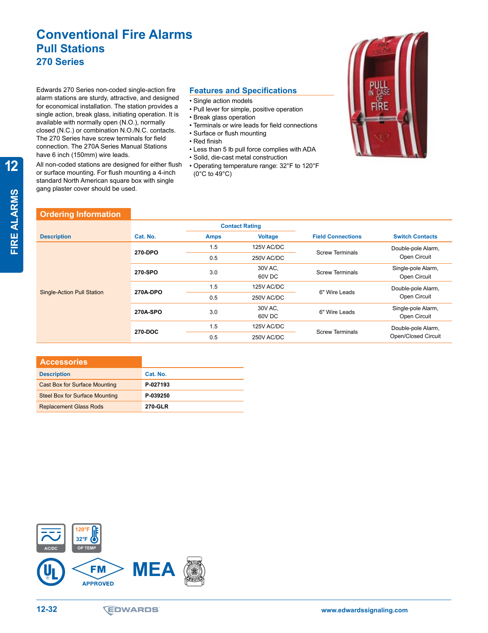## **Conventional Fire Alarms Pull Stations 270 Series**

Edwards 270 Series non-coded single-action fire alarm stations are sturdy, attractive, and designed for economical installation. The station provides a single action, break glass, initiating operation. It is available with normally open (N.O.), normally closed (N.C.) or combination N.O./N.C. contacts. The 270 Series have screw terminals for field connection. The 270A Series Manual Stations have 6 inch (150mm) wire leads.

All non-coded stations are designed for either flush or surface mounting. For flush mounting a 4-inch standard North American square box with single gang plaster cover should be used.

#### **Features and Specifications**

- Single action models
- Pull lever for simple, positive operation
- Break glass operation
- Terminals or wire leads for field connections
- Surface or flush mounting
- Red finish
- Less than 5 lb pull force complies with ADA
- Solid, die-cast metal construction
- Operating temperature range: 32°F to 120°F  $(0^{\circ}$ C to 49 $^{\circ}$ C)



**12**

# **Ordering Information**

|                                   |          | <b>Contact Rating</b> |                   |                          |                                           |
|-----------------------------------|----------|-----------------------|-------------------|--------------------------|-------------------------------------------|
| <b>Description</b>                | Cat. No. | <b>Amps</b>           | <b>Voltage</b>    | <b>Field Connections</b> | <b>Switch Contacts</b>                    |
| <b>Single-Action Pull Station</b> | 270-DPO  | 1.5                   | 125V AC/DC        | <b>Screw Terminals</b>   | Double-pole Alarm,                        |
|                                   |          | 0.5                   | 250V AC/DC        |                          | Open Circuit                              |
|                                   | 270-SPO  | 3.0                   | 30V AC,<br>60V DC | <b>Screw Terminals</b>   | Single-pole Alarm,<br>Open Circuit        |
|                                   | 270A-DPO | 1.5                   | 125V AC/DC        | 6" Wire Leads            | Double-pole Alarm,                        |
|                                   |          | 0.5                   | 250V AC/DC        |                          | Open Circuit                              |
|                                   | 270A-SPO | 3.0                   | 30V AC,<br>60V DC | 6" Wire Leads            | Single-pole Alarm,<br>Open Circuit        |
|                                   | 270-DOC  | 1.5                   | 125V AC/DC        | <b>Screw Terminals</b>   | Double-pole Alarm,<br>Open/Closed Circuit |
|                                   |          | 0.5                   | 250V AC/DC        |                          |                                           |

| <b>Accessories</b>                    |                |
|---------------------------------------|----------------|
| <b>Description</b>                    | Cat. No.       |
| <b>Cast Box for Surface Mounting</b>  | P-027193       |
| <b>Steel Box for Surface Mounting</b> | P-039250       |
| <b>Replacement Glass Rods</b>         | <b>270-GLR</b> |